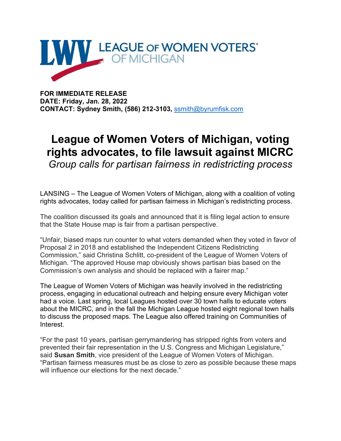

**FOR IMMEDIATE RELEASE DATE: Friday, Jan. 28, 2022 CONTACT: Sydney Smith, (586) 212-3103,** [ssmith@byrumfisk.com](mailto:ssmith@byrumfisk.com)

## **League of Women Voters of Michigan, voting rights advocates, to file lawsuit against MICRC**

*Group calls for partisan fairness in redistricting process*

LANSING – The League of Women Voters of Michigan, along with a coalition of voting rights advocates, today called for partisan fairness in Michigan's redistricting process.

The coalition discussed its goals and announced that it is filing legal action to ensure that the State House map is fair from a partisan perspective.

"Unfair, biased maps run counter to what voters demanded when they voted in favor of Proposal 2 in 2018 and established the Independent Citizens Redistricting Commission," said Christina Schlitt, co-president of the League of Women Voters of Michigan. "The approved House map obviously shows partisan bias based on the Commission's own analysis and should be replaced with a fairer map."

The League of Women Voters of Michigan was heavily involved in the redistricting process, engaging in educational outreach and helping ensure every Michigan voter had a voice. Last spring, local Leagues hosted over 30 town halls to educate voters about the MICRC, and in the fall the Michigan League hosted eight regional town halls to discuss the proposed maps. The League also offered training on Communities of Interest.

"For the past 10 years, partisan gerrymandering has stripped rights from voters and prevented their fair representation in the U.S. Congress and Michigan Legislature," said **Susan Smith**, vice president of the League of Women Voters of Michigan. "Partisan fairness measures must be as close to zero as possible because these maps will influence our elections for the next decade."